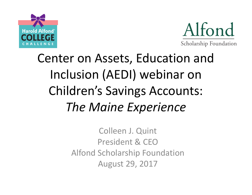



# Center on Assets, Education and Inclusion (AEDI) webinar on Children's Savings Accounts: **The Maine Experience**

Colleen J. Quint President & CEO Alfond Scholarship Foundation August 29, 2017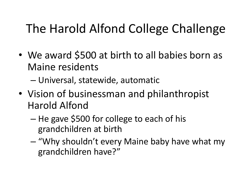## The Harold Alfond College Challenge

- We award \$500 at birth to all babies born as Maine residents
	- Universal, statewide, automatic
- Vision of businessman and philanthropist Harold Alfond
	- $-$  He gave \$500 for college to each of his grandchildren at birth
	- $-$  "Why shouldn't every Maine baby have what my grandchildren have?"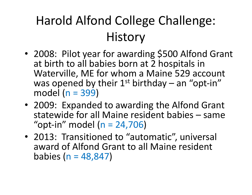# Harold Alfond College Challenge: **History**

- 2008: Pilot year for awarding \$500 Alfond Grant at birth to all babies born at 2 hospitals in Waterville, ME for whom a Maine 529 account was opened by their  $1^{st}$  birthday – an "opt-in" model  $(n = 399)$
- 2009: Expanded to awarding the Alfond Grant statewide for all Maine resident babies - same "opt-in" model  $(n = 24,706)$
- 2013: Transitioned to "automatic", universal award of Alfond Grant to all Maine resident babies  $(n = 48, 847)$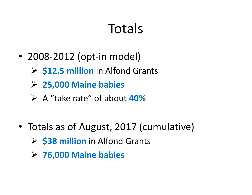# Totals

- 2008-2012 (opt-in model)
	- **► \$12.5 million** in Alfond Grants
	- Ø **25,000 Maine babies**
	- Ø A "take rate" of about **40%**
- Totals as of August, 2017 (cumulative)
	- **► \$38 million** in Alfond Grants
	- Ø **76,000 Maine babies**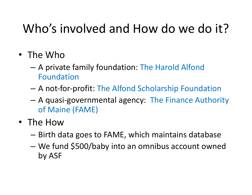### Who's involved and How do we do it?

- The Who
	- $-$  A private family foundation: The Harold Alfond Foundation
	- A not-for-profit: The Alfond Scholarship Foundation
	- A quasi-governmental agency: The Finance Authority of Maine (FAME)
- The How
	- $-$  Birth data goes to FAME, which maintains database
	- We fund \$500/baby into an omnibus account owned by ASF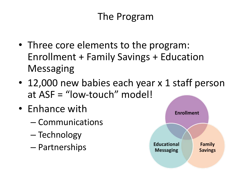#### The Program

- Three core elements to the program: Enrollment + Family Savings + Education Messaging
- 12,000 new babies each year x 1 staff person at  $ASF = "low-touch" model!$
- Enhance with
	- Communications
	- Technology
	- Partnerships

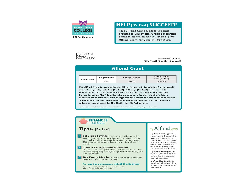

#### **HELP [B's First] SUCCEED!**

This Alfond Grant Update is being brought to you by the Alfond Scholarship Foundation which has invested a \$500 Alfond Grant for your child's future.

[First] [M.] [Last] [Address] [City], [State] [Zip]

Alfond Grant Update for: [B's First] [B's M.] [B's Last]

#### **Alfond Grant**

| <b>Alfond Grant</b> | <b>Original Value</b> | <b>Change in Value</b> | <b>Current Value</b><br>as of [6/30/16] |
|---------------------|-----------------------|------------------------|-----------------------------------------|
|                     | \$500                 | [\$94.25]              | [\$594.25]                              |

The Alfond Grant is invested by the Alfond Scholarship Foundation for the benefit of grant recipients, including [B's First]. Although [B's First] has received the Alfond Grant, [B's First] does not have an individual account in the NextGen College Investing Plan®. Families who want to save for their children's future education must have their own college savings account in order to make their own contributions. To learn more about how family and friends can contribute to a college savings account for [B's First], visit 500ForBaby.org.

The Finance Authority of Maine (FAME) assists the Alfond Scholarship Foundation in administering the Alfond Grant.

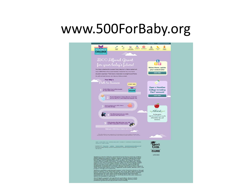## www.500ForBaby.org

| æ<br>$\frac{m}{2}$<br><b>LEARN</b><br><b>NEXTGEN</b><br>EUGBLITY CONTRIBUTE<br>CONTACT<br><b>FAMILY</b><br><b>Harold Alfond</b><br>COLLEGE                                                                                                |
|-------------------------------------------------------------------------------------------------------------------------------------------------------------------------------------------------------------------------------------------|
|                                                                                                                                                                                                                                           |
|                                                                                                                                                                                                                                           |
| \$500 Alfond Grant<br>А<br>for your baby's future!                                                                                                                                                                                        |
| Maine Moms, update<br>Your baby is destined for success! Every baby born a Maine resident will<br>your contact info!<br>have a \$500 Alfond Grant automatically invested for his or her future<br>- CUCK HERE -                           |
| education expenses." That means a head start on a bright future! Follow<br>the path and see how you can help your baby succeed.                                                                                                           |
| <b>Your Baby's</b><br>Path to Success<br>k.<br><b>START HERE</b>                                                                                                                                                                          |
| <b>Open a NextGen</b><br>A \$500 Alfond Grant will be invested<br><b>College Investing</b><br>for your child's future.<br>COLLEGE<br>Plan <sup>®</sup> account!                                                                           |
| - CUCK HERE -<br>As your belty grows & learns, there are a lot of ways<br>you can help! We'll share helpful tips along the way.                                                                                                           |
|                                                                                                                                                                                                                                           |
| Start inventing in your child's future.<br>Every little bit helps.<br><b>My Alfond</b>                                                                                                                                                    |
| The Alfand Grant is for your child's<br>As they grow,<br>education after high school.<br>visit MyAlfondGrant.org for<br>information, tips, and                                                                                            |
| resources.<br>With education after high school, your child<br>can follow many paths to future success.                                                                                                                                    |
| Make your child's future dreams com                                                                                                                                                                                                       |
| "The Altimal Create is not automatic in all circummanous and is also available in languad other                                                                                                                                           |
| нова   шленнове   нар $\parallel$ митальнове<br>сальное   шленату   сантавите   навыт веколюсев сомметаль   манастичнев                                                                                                                   |
| Copyright # 2017 Private Policy Lucitions Terms & Conditions Developed funding the filtrations at PD<br>Harold Alfoni College Challenge, on Finance Authority of Marie, P.O. Box 945, Augusta, MI 94332 2946.<br>1400-228-2154<br>FAME    |
| <b>ARPOVSION</b>                                                                                                                                                                                                                          |
| Next<br>Centra is a Section 529 plan administered by the Finance Authority of Maine<br>(FAME), Before you investigate the percent request of Next<br>Central Edge at (877) 463 9843 and read it correlably. The Program Description<br>Me |
| NextGen is available to self-directed investors, in the Client Direct Series or through<br>Amendal advances in the Client Select Series, Each series offers different investment<br>options, each with its own sales charges, fees a      |
| Merrill Edge® is available through Merrill Lynch, Pierce, Fenner & Smith<br>Incorporated (MLPF&S), and consists of the Merrill Edge Advisory Center<br>(Investment guidance) and self-directed online investing.                          |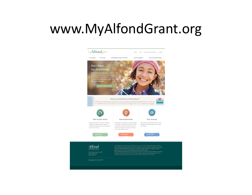#### www.MyAlfondGrant.org



Prince/Policy | @ Copyright 2014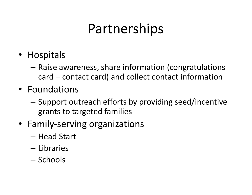# Partnerships

- Hospitals
	- $-$  Raise awareness, share information (congratulations card + contact card) and collect contact information
- Foundations
	- $-$  Support outreach efforts by providing seed/incentive grants to targeted families
- Family-serving organizations
	- Head Start
	- Libraries
	- Schools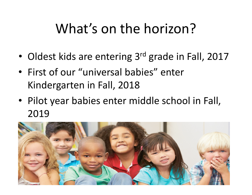# What's on the horizon?

- Oldest kids are entering 3<sup>rd</sup> grade in Fall, 2017
- First of our "universal babies" enter Kindergarten in Fall, 2018
- Pilot year babies enter middle school in Fall, 2019

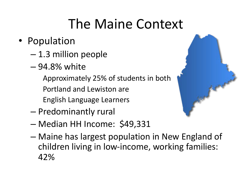# The Maine Context

- Population
	- 1.3 million people
	- 94.8% white
		- Approximately 25% of students in both
		- Portland and Lewiston are
		- English Language Learners
	- $-$  Predominantly rural
	- Median HH Income: \$49,331
	- Maine has largest population in New England of children living in low-income, working families: 42%

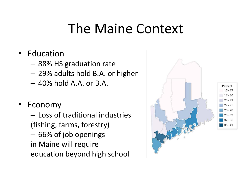### The Maine Context

- Education
	- $-$  88% HS graduation rate
	- 29% adults hold B.A. or higher
	- $-40\%$  hold A.A. or B.A.
- **Economy**

 $-$  Loss of traditional industries (fishing, farms, forestry) – 66% of job openings in Maine will require education beyond high school